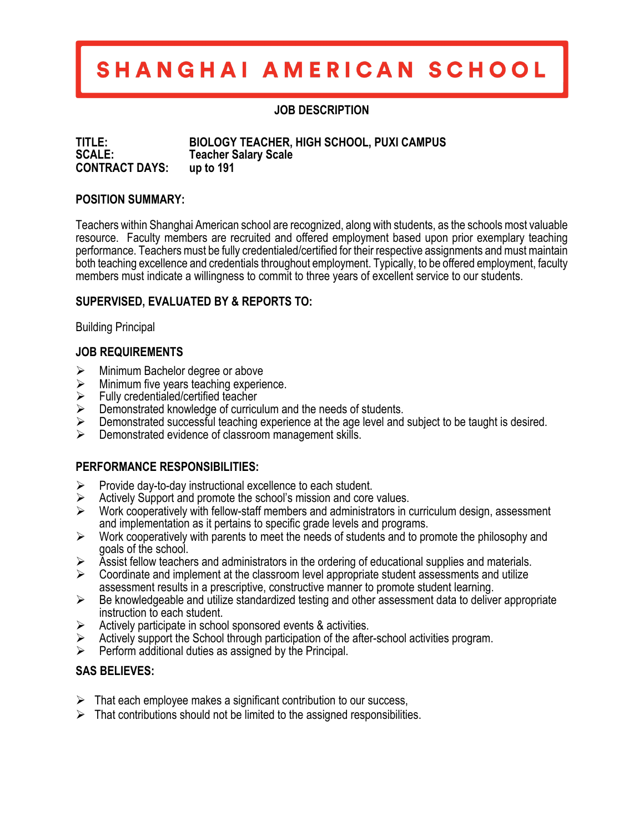# SHANGHAI AMERICAN SCHOOL

## **JOB DESCRIPTION**

**TITLE: BIOLOGY TEACHER, HIGH SCHOOL, PUXI CAMPUS SCALE: Teacher Salary Scale CONTRACT DAYS: up to 191** 

#### **POSITION SUMMARY:**

Teachers within Shanghai American school are recognized, along with students, as the schools most valuable resource. Faculty members are recruited and offered employment based upon prior exemplary teaching performance. Teachers must be fully credentialed/certified for their respective assignments and must maintain both teaching excellence and credentials throughout employment. Typically, to be offered employment, faculty members must indicate a willingness to commit to three years of excellent service to our students.

## **SUPERVISED, EVALUATED BY & REPORTS TO:**

Building Principal

## **JOB REQUIREMENTS**

- $\triangleright$  Minimum Bachelor degree or above
- $\triangleright$  Minimum five years teaching experience.
- $\triangleright$  Fully credentialed/certified teacher
- $\triangleright$  Demonstrated knowledge of curriculum and the needs of students.
- $\triangleright$  Demonstrated successful teaching experience at the age level and subject to be taught is desired.<br>  $\triangleright$  Demonstrated evidence of classroom management skills
- Demonstrated evidence of classroom management skills.

#### **PERFORMANCE RESPONSIBILITIES:**

- $\triangleright$  Provide day-to-day instructional excellence to each student.
- $\triangleright$  Actively Support and promote the school's mission and core values.
- $\triangleright$  Work cooperatively with fellow-staff members and administrators in curriculum design, assessment and implementation as it pertains to specific grade levels and programs.
- $\triangleright$  Work cooperatively with parents to meet the needs of students and to promote the philosophy and goals of the school.
- $\triangleright$  Assist fellow teachers and administrators in the ordering of educational supplies and materials.
- $\triangleright$  Coordinate and implement at the classroom level appropriate student assessments and utilize assessment results in a prescriptive, constructive manner to promote student learning.
- $\triangleright$  Be knowledgeable and utilize standardized testing and other assessment data to deliver appropriate instruction to each student.
- $\triangleright$  Actively participate in school sponsored events & activities.
- $\triangleright$  Actively support the School through participation of the after-school activities program.
- $\triangleright$  Perform additional duties as assigned by the Principal.

## **SAS BELIEVES:**

- $\triangleright$  That each employee makes a significant contribution to our success,
- $\triangleright$  That contributions should not be limited to the assigned responsibilities.